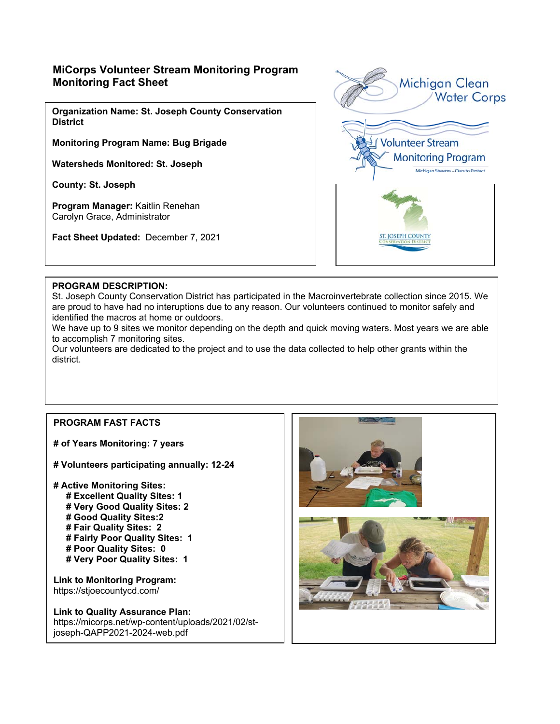# **MiCorps Volunteer Stream Monitoring Program Monitoring Fact Sheet**

**Organization Name: St. Joseph County Conservation District** 

**Monitoring Program Name: Bug Brigade** 

**Watersheds Monitored: St. Joseph** 

**County: St. Joseph** 

**Program Manager:** Kaitlin Renehan Carolyn Grace, Administrator

**Fact Sheet Updated:** December 7, 2021



#### **PROGRAM DESCRIPTION:**

St. Joseph County Conservation District has participated in the Macroinvertebrate collection since 2015. We are proud to have had no interuptions due to any reason. Our volunteers continued to monitor safely and identified the macros at home or outdoors.

We have up to 9 sites we monitor depending on the depth and quick moving waters. Most years we are able to accomplish 7 monitoring sites.

Our volunteers are dedicated to the project and to use the data collected to help other grants within the district.

### **PROGRAM FAST FACTS**

**# of Years Monitoring: 7 years** 

**# Volunteers participating annually: 12-24** 

**# Active Monitoring Sites: # Excellent Quality Sites: 1 # Very Good Quality Sites: 2 # Good Quality Sites:2 # Fair Quality Sites: 2 # Fairly Poor Quality Sites: 1 # Poor Quality Sites: 0 # Very Poor Quality Sites: 1** 

**Link to Monitoring Program:**  https://stjoecountycd.com/

**Link to Quality Assurance Plan:**  https://micorps.net/wp-content/uploads/2021/02/stjoseph-QAPP2021-2024-web.pdf